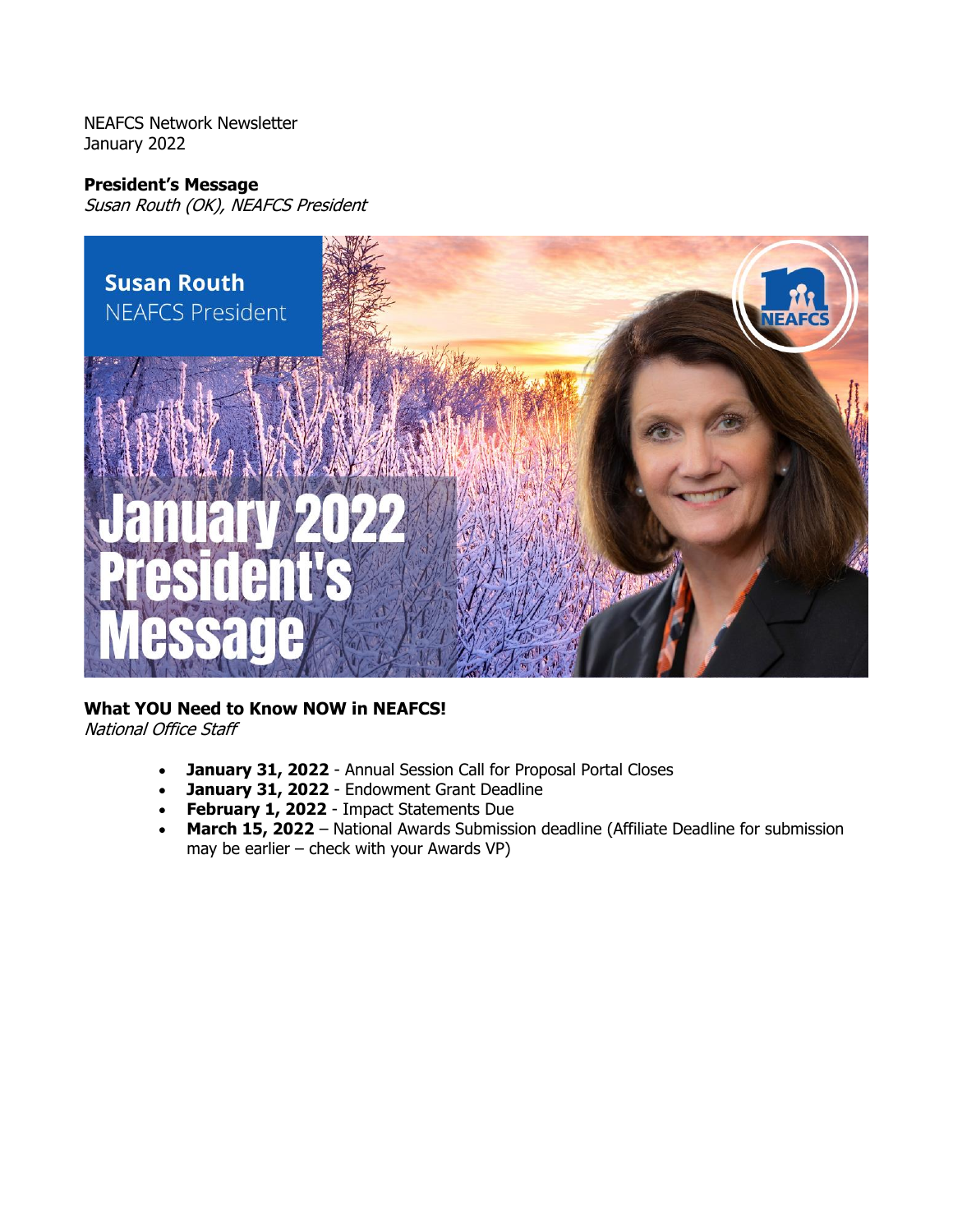NEAFCS Network Newsletter January 2022

#### **President's Message**

Susan Routh (OK), NEAFCS President



# **What YOU Need to Know NOW in NEAFCS!**

National Office Staff

- **January 31, 2022** Annual Session Call for Proposal Portal Closes
- **January 31, 2022** Endowment Grant Deadline
- **February 1, 2022** Impact Statements Due
- **March 15, 2022** National Awards Submission deadline (Affiliate Deadline for submission may be earlier – check with your Awards VP)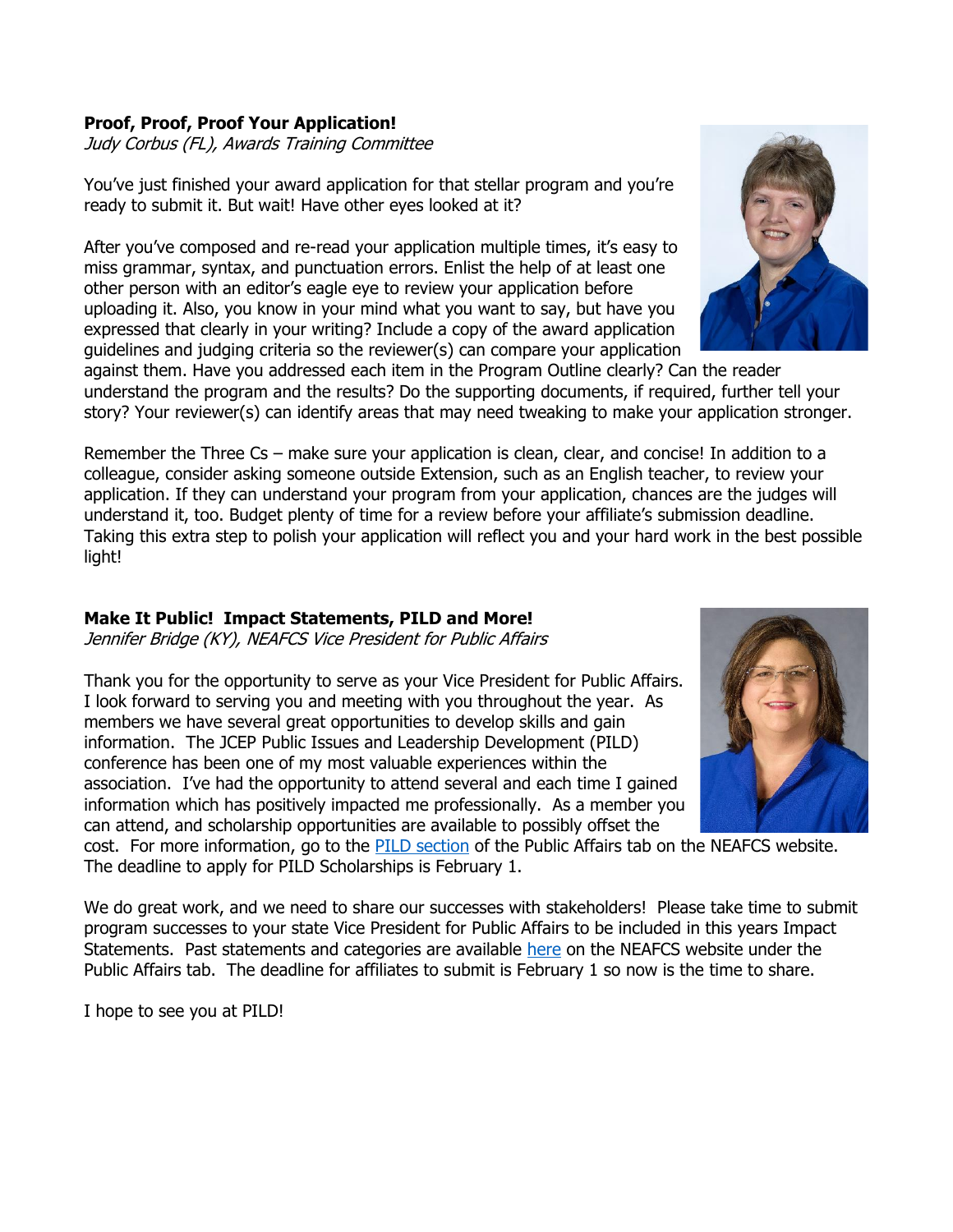# **Proof, Proof, Proof Your Application!**

Judy Corbus (FL), Awards Training Committee

You've just finished your award application for that stellar program and you're ready to submit it. But wait! Have other eyes looked at it?

After you've composed and re-read your application multiple times, it's easy to miss grammar, syntax, and punctuation errors. Enlist the help of at least one other person with an editor's eagle eye to review your application before uploading it. Also, you know in your mind what you want to say, but have you expressed that clearly in your writing? Include a copy of the award application guidelines and judging criteria so the reviewer(s) can compare your application

against them. Have you addressed each item in the Program Outline clearly? Can the reader understand the program and the results? Do the supporting documents, if required, further tell your story? Your reviewer(s) can identify areas that may need tweaking to make your application stronger.

Remember the Three Cs - make sure your application is clean, clear, and concise! In addition to a colleague, consider asking someone outside Extension, such as an English teacher, to review your application. If they can understand your program from your application, chances are the judges will understand it, too. Budget plenty of time for a review before your affiliate's submission deadline. Taking this extra step to polish your application will reflect you and your hard work in the best possible light!

### **Make It Public! Impact Statements, PILD and More!**

Jennifer Bridge (KY), NEAFCS Vice President for Public Affairs

Thank you for the opportunity to serve as your Vice President for Public Affairs. I look forward to serving you and meeting with you throughout the year. As members we have several great opportunities to develop skills and gain information. The JCEP Public Issues and Leadership Development (PILD) conference has been one of my most valuable experiences within the association. I've had the opportunity to attend several and each time I gained information which has positively impacted me professionally. As a member you can attend, and scholarship opportunities are available to possibly offset the

cost. For more information, go to the **PILD** section of the Public Affairs tab on the NEAFCS website. The deadline to apply for PILD Scholarships is February 1.

We do great work, and we need to share our successes with stakeholders! Please take time to submit program successes to your state Vice President for Public Affairs to be included in this years Impact Statements. Past statements and categories are available [here](https://neafcs.memberclicks.net/impact-statements) on the NEAFCS website under the Public Affairs tab. The deadline for affiliates to submit is February 1 so now is the time to share.

I hope to see you at PILD!



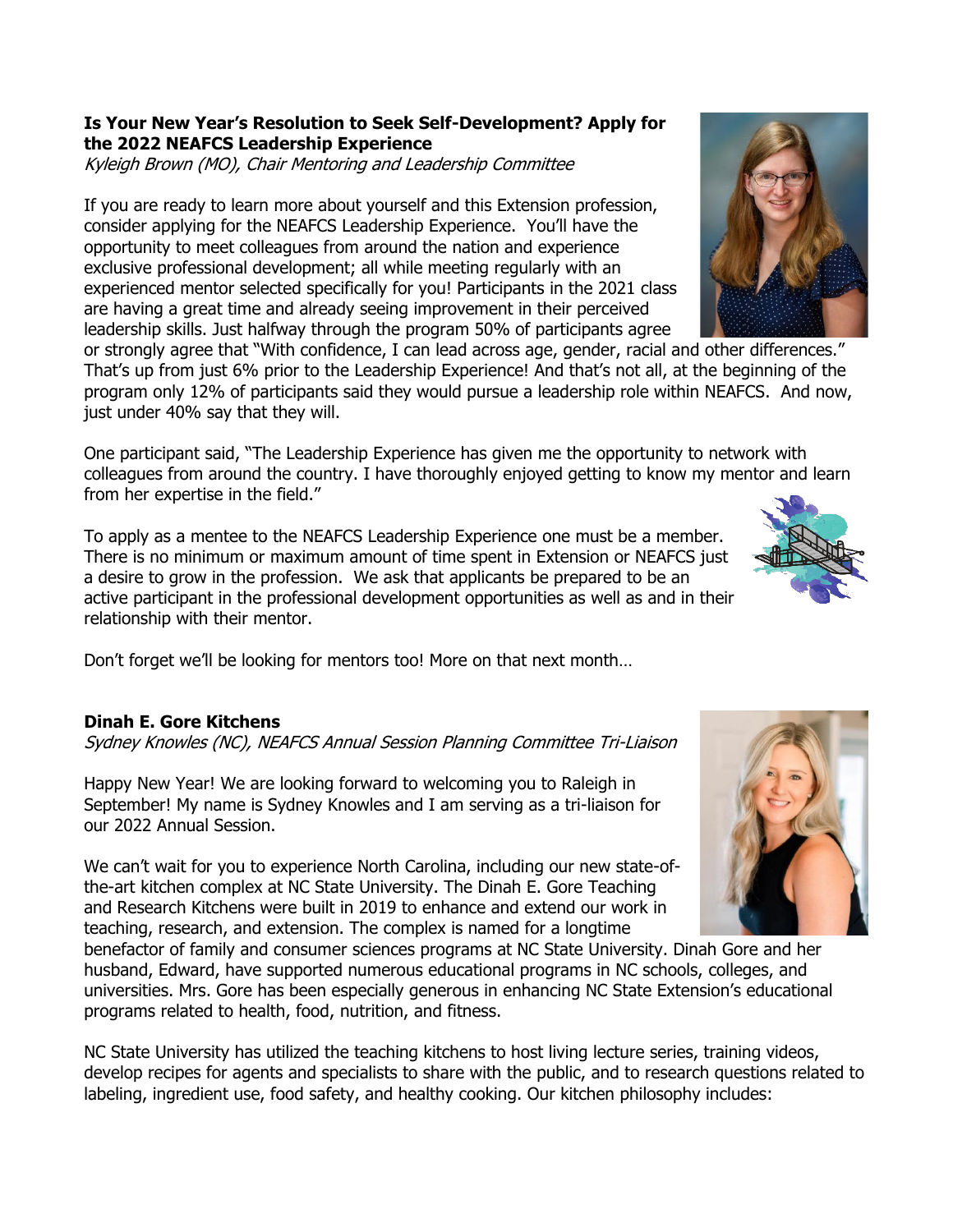### **Is Your New Year's Resolution to Seek Self-Development? Apply for the 2022 NEAFCS Leadership Experience**

Kyleigh Brown (MO), Chair Mentoring and Leadership Committee

If you are ready to learn more about yourself and this Extension profession, consider applying for the NEAFCS Leadership Experience. You'll have the opportunity to meet colleagues from around the nation and experience exclusive professional development; all while meeting regularly with an experienced mentor selected specifically for you! Participants in the 2021 class are having a great time and already seeing improvement in their perceived leadership skills. Just halfway through the program 50% of participants agree

or strongly agree that "With confidence, I can lead across age, gender, racial and other differences." That's up from just 6% prior to the Leadership Experience! And that's not all, at the beginning of the program only 12% of participants said they would pursue a leadership role within NEAFCS. And now, just under 40% say that they will.

One participant said, "The Leadership Experience has given me the opportunity to network with colleagues from around the country. I have thoroughly enjoyed getting to know my mentor and learn from her expertise in the field."

To apply as a mentee to the NEAFCS Leadership Experience one must be a member. There is no minimum or maximum amount of time spent in Extension or NEAFCS just a desire to grow in the profession. We ask that applicants be prepared to be an active participant in the professional development opportunities as well as and in their relationship with their mentor.

Don't forget we'll be looking for mentors too! More on that next month…

# **Dinah E. Gore Kitchens**

Sydney Knowles (NC), NEAFCS Annual Session Planning Committee Tri-Liaison

Happy New Year! We are looking forward to welcoming you to Raleigh in September! My name is Sydney Knowles and I am serving as a tri-liaison for our 2022 Annual Session.

We can't wait for you to experience North Carolina, including our new state-ofthe-art kitchen complex at NC State University. The Dinah E. Gore Teaching and Research Kitchens were built in 2019 to enhance and extend our work in teaching, research, and extension. The complex is named for a longtime

benefactor of family and consumer sciences programs at NC State University. Dinah Gore and her husband, Edward, have supported numerous educational programs in NC schools, colleges, and universities. Mrs. Gore has been especially generous in enhancing NC State Extension's educational programs related to health, food, nutrition, and fitness.

NC State University has utilized the teaching kitchens to host living lecture series, training videos, develop recipes for agents and specialists to share with the public, and to research questions related to labeling, ingredient use, food safety, and healthy cooking. Our kitchen philosophy includes:





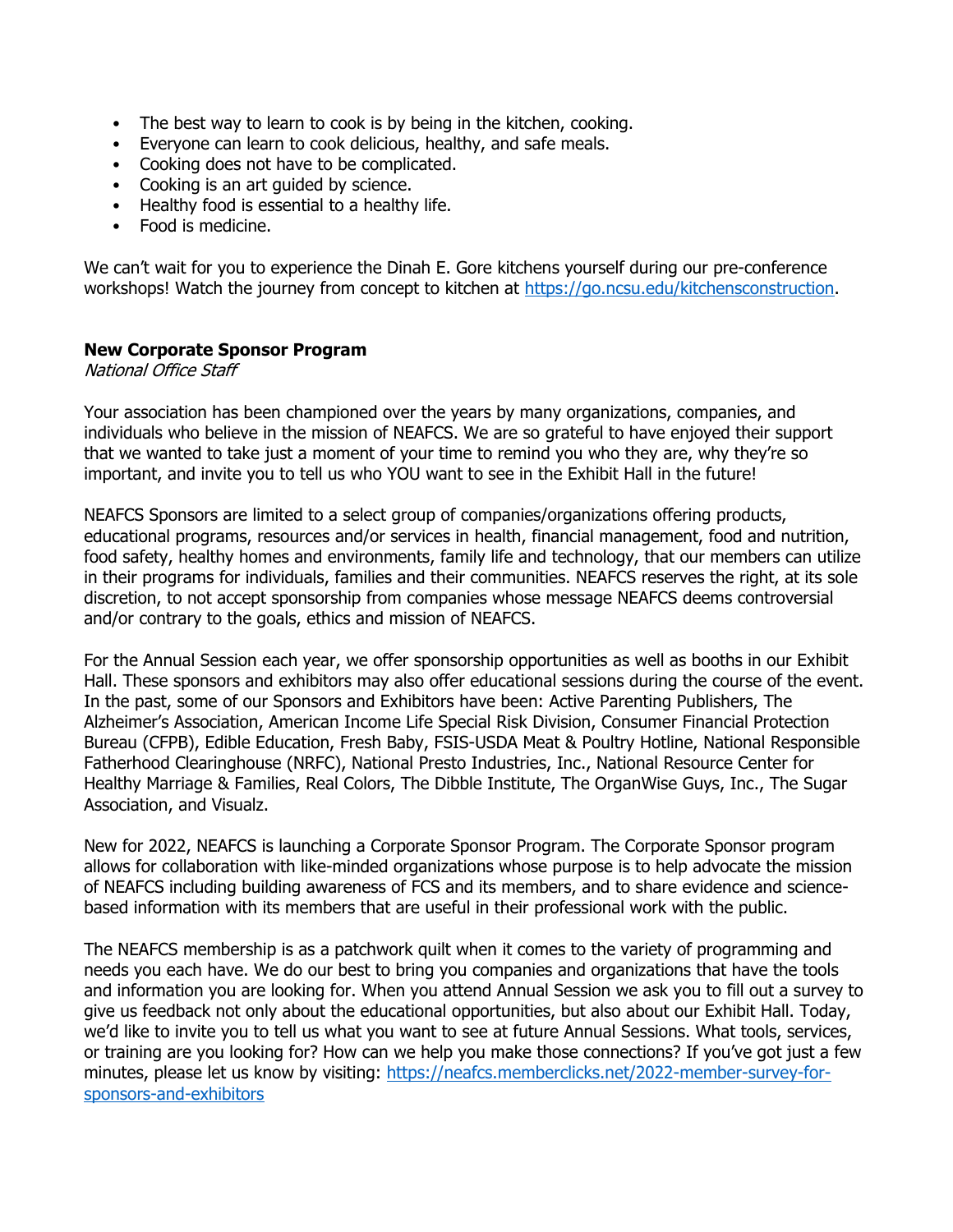- The best way to learn to cook is by being in the kitchen, cooking.
- Everyone can learn to cook delicious, healthy, and safe meals.
- Cooking does not have to be complicated.
- Cooking is an art guided by science.
- Healthy food is essential to a healthy life.
- Food is medicine.

We can't wait for you to experience the Dinah E. Gore kitchens yourself during our pre-conference workshops! Watch the journey from concept to kitchen at [https://go.ncsu.edu/kitchensconstruction.](https://go.ncsu.edu/kitchensconstruction)

#### **New Corporate Sponsor Program**

National Office Staff

Your association has been championed over the years by many organizations, companies, and individuals who believe in the mission of NEAFCS. We are so grateful to have enjoyed their support that we wanted to take just a moment of your time to remind you who they are, why they're so important, and invite you to tell us who YOU want to see in the Exhibit Hall in the future!

NEAFCS Sponsors are limited to a select group of companies/organizations offering products, educational programs, resources and/or services in health, financial management, food and nutrition, food safety, healthy homes and environments, family life and technology, that our members can utilize in their programs for individuals, families and their communities. NEAFCS reserves the right, at its sole discretion, to not accept sponsorship from companies whose message NEAFCS deems controversial and/or contrary to the goals, ethics and mission of NEAFCS.

For the Annual Session each year, we offer sponsorship opportunities as well as booths in our Exhibit Hall. These sponsors and exhibitors may also offer educational sessions during the course of the event. In the past, some of our Sponsors and Exhibitors have been: Active Parenting Publishers, The Alzheimer's Association, American Income Life Special Risk Division, Consumer Financial Protection Bureau (CFPB), Edible Education, Fresh Baby, FSIS-USDA Meat & Poultry Hotline, National Responsible Fatherhood Clearinghouse (NRFC), National Presto Industries, Inc., National Resource Center for Healthy Marriage & Families, Real Colors, The Dibble Institute, The OrganWise Guys, Inc., The Sugar Association, and Visualz.

New for 2022, NEAFCS is launching a Corporate Sponsor Program. The Corporate Sponsor program allows for collaboration with like-minded organizations whose purpose is to help advocate the mission of NEAFCS including building awareness of FCS and its members, and to share evidence and sciencebased information with its members that are useful in their professional work with the public.

The NEAFCS membership is as a patchwork quilt when it comes to the variety of programming and needs you each have. We do our best to bring you companies and organizations that have the tools and information you are looking for. When you attend Annual Session we ask you to fill out a survey to give us feedback not only about the educational opportunities, but also about our Exhibit Hall. Today, we'd like to invite you to tell us what you want to see at future Annual Sessions. What tools, services, or training are you looking for? How can we help you make those connections? If you've got just a few minutes, please let us know by visiting: [https://neafcs.memberclicks.net/2022-member-survey-for](https://neafcs.memberclicks.net/2022-member-survey-for-sponsors-and-exhibitors)[sponsors-and-exhibitors](https://neafcs.memberclicks.net/2022-member-survey-for-sponsors-and-exhibitors)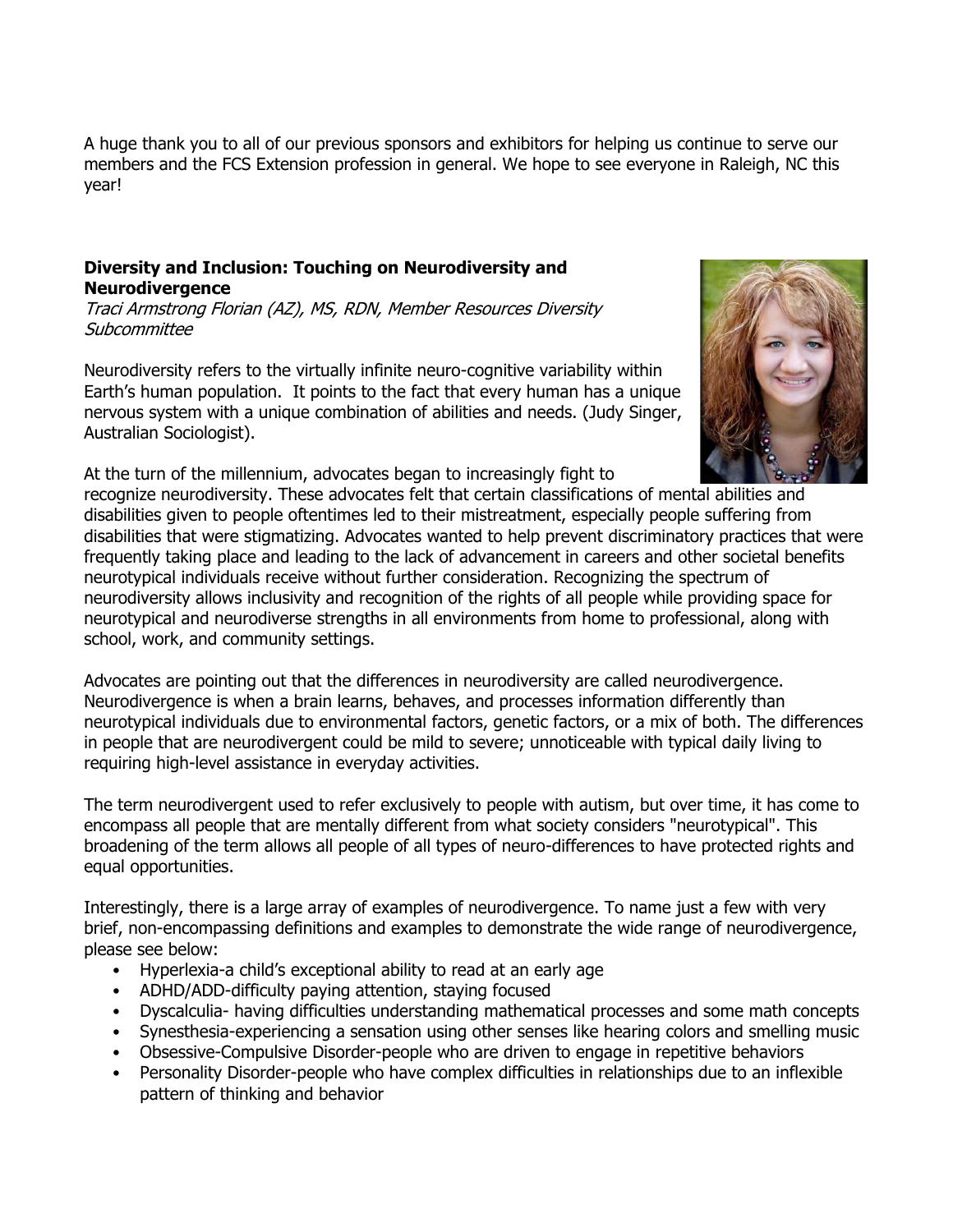A huge thank you to all of our previous sponsors and exhibitors for helping us continue to serve our members and the FCS Extension profession in general. We hope to see everyone in Raleigh, NC this year!

### **Diversity and Inclusion: Touching on Neurodiversity and Neurodivergence**

Traci Armstrong Florian (AZ), MS, RDN, Member Resources Diversity Subcommittee

Neurodiversity refers to the virtually infinite neuro-cognitive variability within Earth's human population. It points to the fact that every human has a unique nervous system with a unique combination of abilities and needs. (Judy Singer, Australian Sociologist).



At the turn of the millennium, advocates began to increasingly fight to

recognize neurodiversity. These advocates felt that certain classifications of mental abilities and disabilities given to people oftentimes led to their mistreatment, especially people suffering from disabilities that were stigmatizing. Advocates wanted to help prevent discriminatory practices that were frequently taking place and leading to the lack of advancement in careers and other societal benefits neurotypical individuals receive without further consideration. Recognizing the spectrum of neurodiversity allows inclusivity and recognition of the rights of all people while providing space for neurotypical and neurodiverse strengths in all environments from home to professional, along with school, work, and community settings.

Advocates are pointing out that the differences in neurodiversity are called neurodivergence. Neurodivergence is when a brain learns, behaves, and processes information differently than neurotypical individuals due to environmental factors, genetic factors, or a mix of both. The differences in people that are neurodivergent could be mild to severe; unnoticeable with typical daily living to requiring high-level assistance in everyday activities.

The term neurodivergent used to refer exclusively to people with autism, but over time, it has come to encompass all people that are mentally different from what society considers "neurotypical". This broadening of the term allows all people of all types of neuro-differences to have protected rights and equal opportunities.

Interestingly, there is a large array of examples of neurodivergence. To name just a few with very brief, non-encompassing definitions and examples to demonstrate the wide range of neurodivergence, please see below:

- Hyperlexia-a child's exceptional ability to read at an early age
- ADHD/ADD-difficulty paying attention, staying focused
- Dyscalculia- having difficulties understanding mathematical processes and some math concepts
- Synesthesia-experiencing a sensation using other senses like hearing colors and smelling music
- Obsessive-Compulsive Disorder-people who are driven to engage in repetitive behaviors
- Personality Disorder-people who have complex difficulties in relationships due to an inflexible pattern of thinking and behavior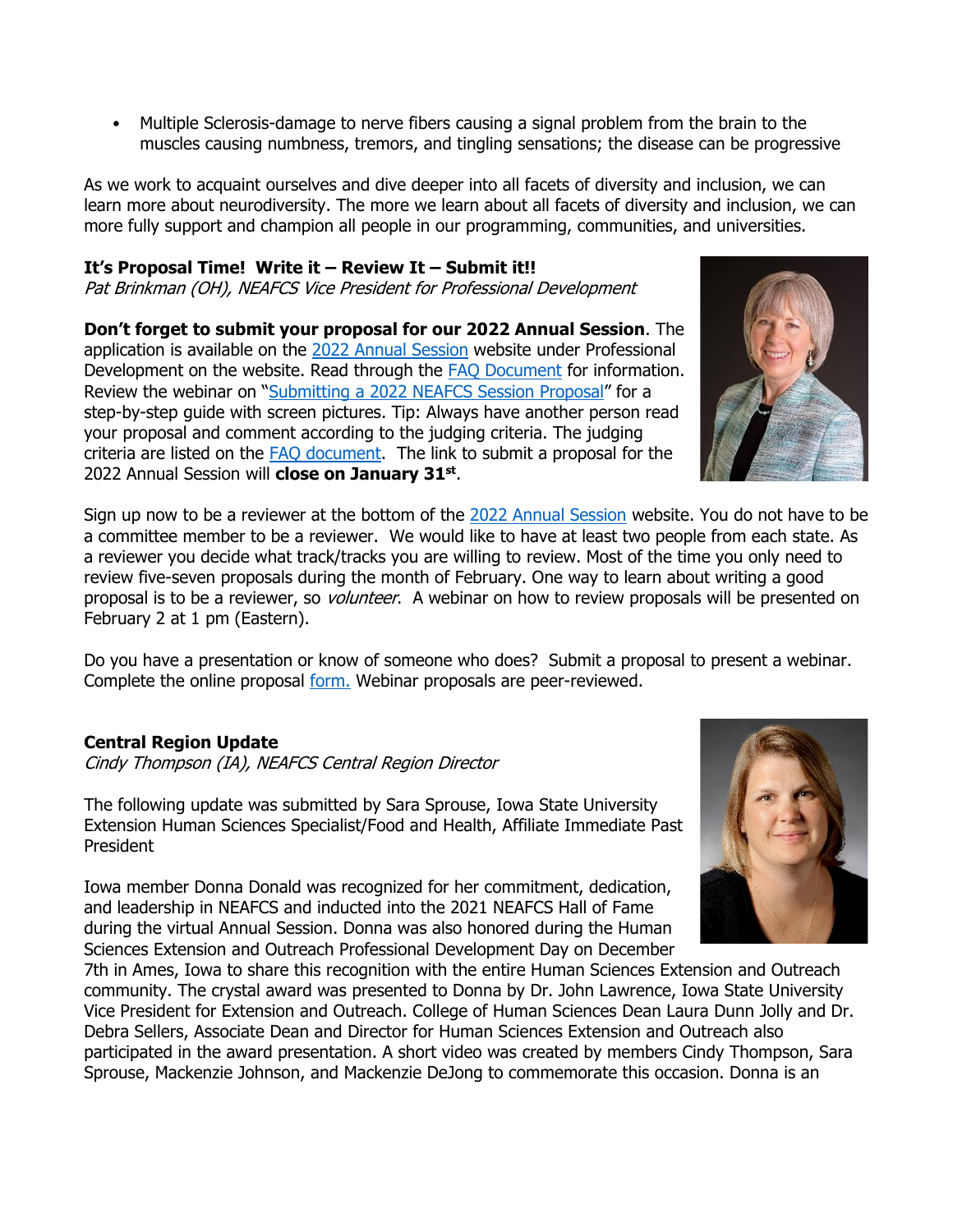• Multiple Sclerosis-damage to nerve fibers causing a signal problem from the brain to the muscles causing numbness, tremors, and tingling sensations; the disease can be progressive

As we work to acquaint ourselves and dive deeper into all facets of diversity and inclusion, we can learn more about neurodiversity. The more we learn about all facets of diversity and inclusion, we can more fully support and champion all people in our programming, communities, and universities.

# **It's Proposal Time! Write it – Review It – Submit it!!**

Pat Brinkman (OH), NEAFCS Vice President for Professional Development

**Don't forget to submit your proposal for our 2022 Annual Session**. The application is available on the [2022 Annual Session](https://neafcs.memberclicks.net/2022-annual-session) website under Professional Development on the website. Read through the [FAQ Document](https://neafcs.memberclicks.net/assets/2021-Annual-Session/FAQ.pdf) for information. Review the webinar on "[Submitting a 2022 NEAFCS Session Proposal](https://neafcs.memberclicks.net/2022-annual-sessionhttps:/neafcs.memberclicks.net/webinars)" for a step-by-step guide with screen pictures. Tip: Always have another person read your proposal and comment according to the judging criteria. The judging criteria are listed on the [FAQ document.](https://neafcs.memberclicks.net/assets/2021-Annual-Session/FAQ.pdf) The link to submit a proposal for the 2022 Annual Session will **close on January 31st** .

Sign up now to be a reviewer at the bottom of the [2022 Annual Session](https://neafcs.memberclicks.net/2022-annual-session) website. You do not have to be a committee member to be a reviewer. We would like to have at least two people from each state. As a reviewer you decide what track/tracks you are willing to review. Most of the time you only need to review five-seven proposals during the month of February. One way to learn about writing a good proposal is to be a reviewer, so *volunteer*. A webinar on how to review proposals will be presented on February 2 at 1 pm (Eastern).

Do you have a presentation or know of someone who does? Submit a proposal to present a webinar. Complete the online proposal [form.](https://neafcs.memberclicks.net/index.php?option=com_mcform&view=ngforms&id=2056468#/) Webinar proposals are peer-reviewed.

# **Central Region Update**

Cindy Thompson (IA), NEAFCS Central Region Director

The following update was submitted by Sara Sprouse, Iowa State University Extension Human Sciences Specialist/Food and Health, Affiliate Immediate Past President

Iowa member Donna Donald was recognized for her commitment, dedication, and leadership in NEAFCS and inducted into the 2021 NEAFCS Hall of Fame during the virtual Annual Session. Donna was also honored during the Human Sciences Extension and Outreach Professional Development Day on December

7th in Ames, Iowa to share this recognition with the entire Human Sciences Extension and Outreach community. The crystal award was presented to Donna by Dr. John Lawrence, Iowa State University Vice President for Extension and Outreach. College of Human Sciences Dean Laura Dunn Jolly and Dr. Debra Sellers, Associate Dean and Director for Human Sciences Extension and Outreach also participated in the award presentation. A short video was created by members Cindy Thompson, Sara Sprouse, Mackenzie Johnson, and Mackenzie DeJong to commemorate this occasion. Donna is an



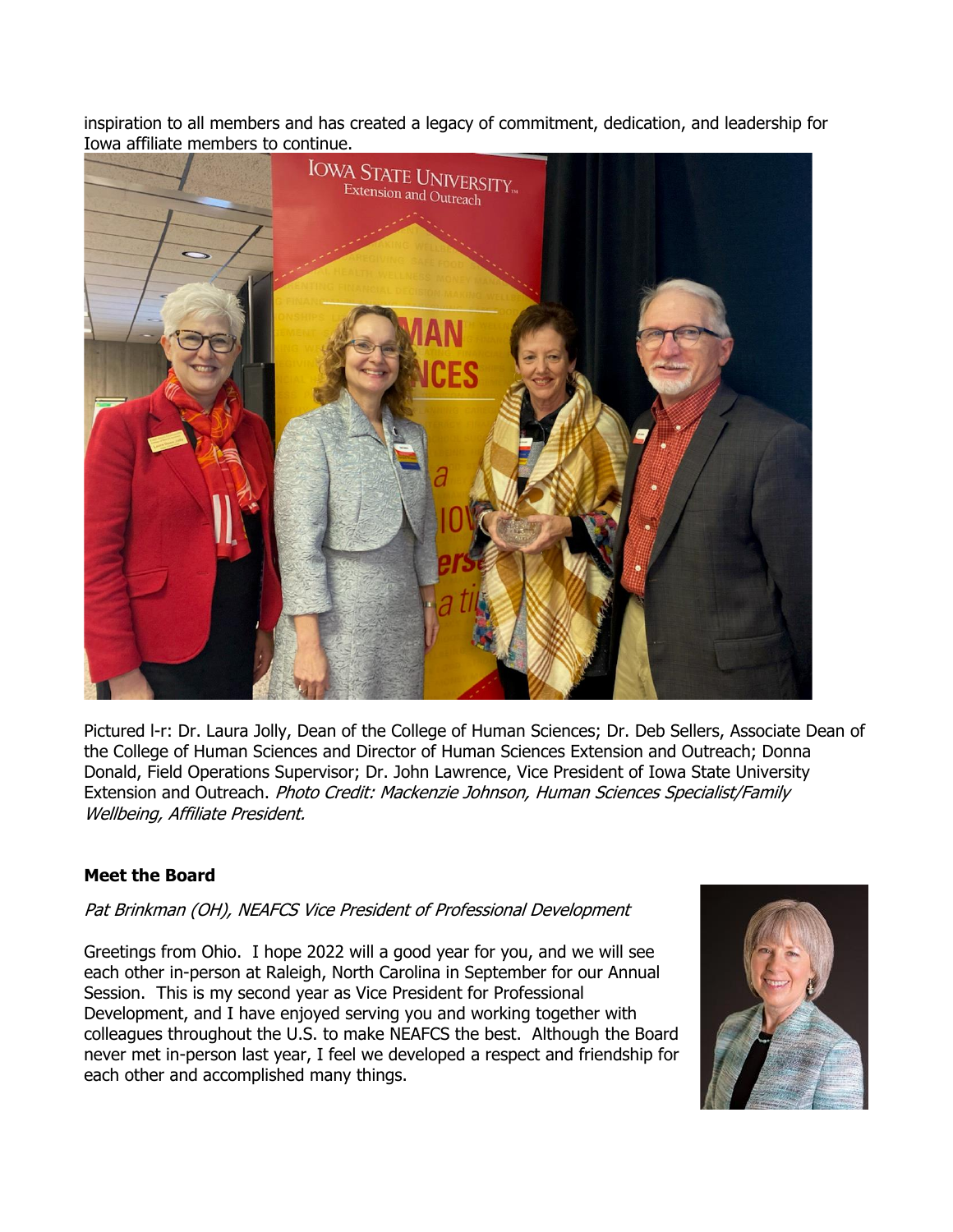inspiration to all members and has created a legacy of commitment, dedication, and leadership for Iowa affiliate members to continue.



Pictured l-r: Dr. Laura Jolly, Dean of the College of Human Sciences; Dr. Deb Sellers, Associate Dean of the College of Human Sciences and Director of Human Sciences Extension and Outreach; Donna Donald, Field Operations Supervisor; Dr. John Lawrence, Vice President of Iowa State University Extension and Outreach. Photo Credit: Mackenzie Johnson, Human Sciences Specialist/Family Wellbeing, Affiliate President.

# **Meet the Board**

Pat Brinkman (OH), NEAFCS Vice President of Professional Development

Greetings from Ohio. I hope 2022 will a good year for you, and we will see each other in-person at Raleigh, North Carolina in September for our Annual Session. This is my second year as Vice President for Professional Development, and I have enjoyed serving you and working together with colleagues throughout the U.S. to make NEAFCS the best. Although the Board never met in-person last year, I feel we developed a respect and friendship for each other and accomplished many things.